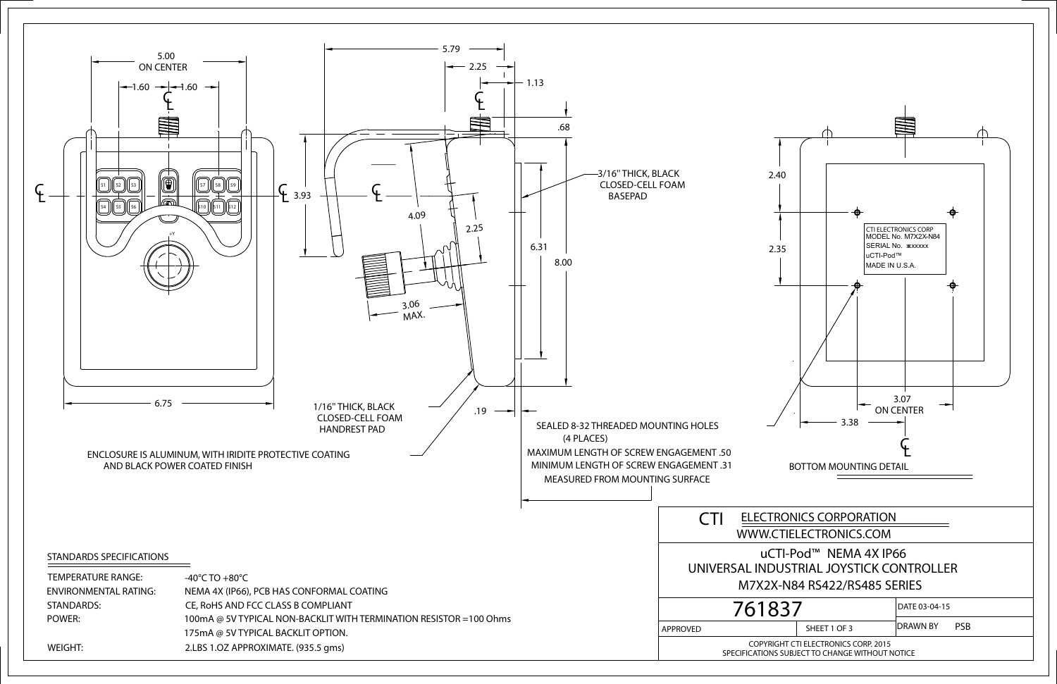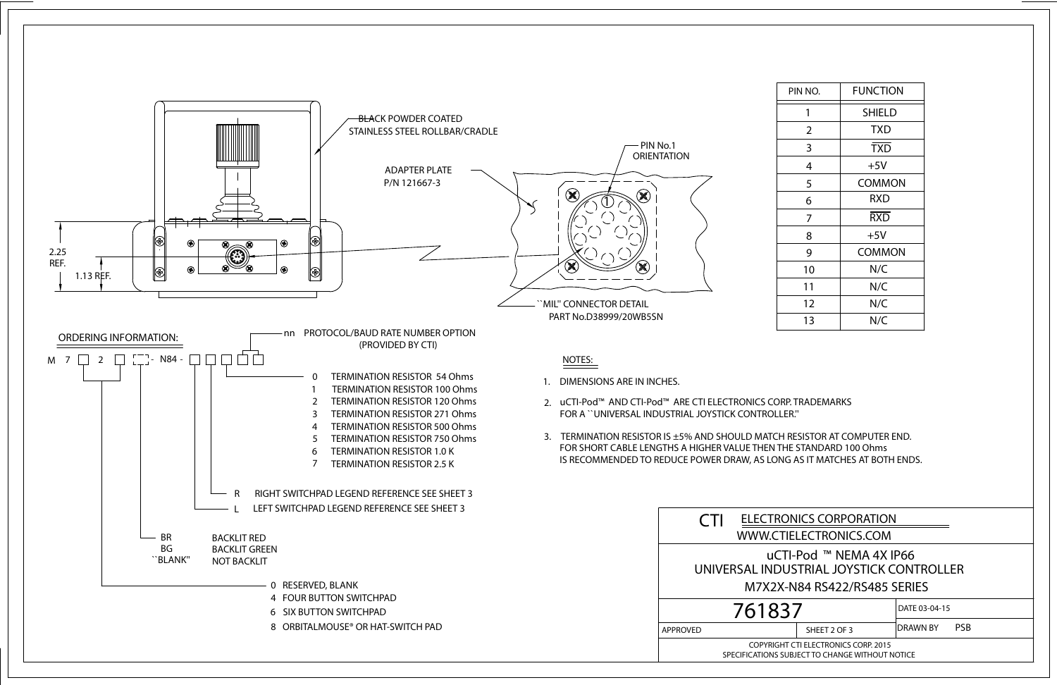| PIN NO. | <b>FUNCTION</b> |
|---------|-----------------|
| 1       | <b>SHIELD</b>   |
| 2       | <b>TXD</b>      |
| 3       | <b>TXD</b>      |
| 4       | $+5V$           |
| 5       | <b>COMMON</b>   |
| 6       | RXD             |
| 7       | <b>RXD</b>      |
| 8       | $+5V$           |
| 9       | <b>COMMON</b>   |
| 10      | N/C             |
| 11      | N/C             |
| 12      | N/C             |
| 13      | N/C             |



| RONICS CORPORATION                                                                 |              |                               |
|------------------------------------------------------------------------------------|--------------|-------------------------------|
| TIELECTRONICS.COM                                                                  |              |                               |
| CTI-Pod ™ NEMA 4X IP66<br>DUSTRIAL JOYSTICK CONTROLLER<br>X-N84 RS422/RS485 SERIES |              |                               |
| 37                                                                                 |              | DATE 03-04-15                 |
|                                                                                    | SHEET 2 OF 3 | <b>DRAWN BY</b><br><b>PSB</b> |
| LHT CTI EI ECTRONICS CORD JO15                                                     |              |                               |

SPECIFICATIONS SUBJECT TO CHANGE WITHOUT NOTICE